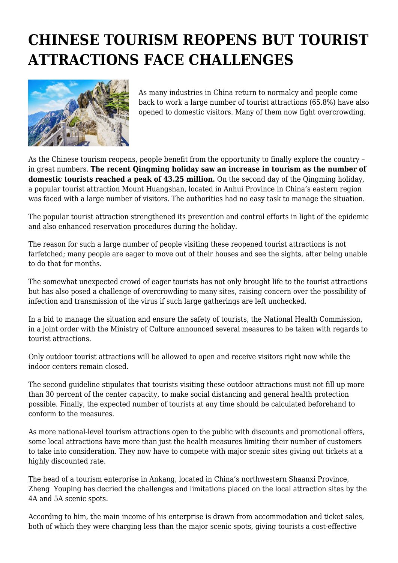## **CHINESE TOURISM REOPENS BUT TOURIST ATTRACTIONS FACE CHALLENGES**



As many industries in China return to normalcy and people come back to work a large number of tourist attractions (65.8%) have also opened to domestic visitors. Many of them now fight overcrowding.

As the Chinese tourism reopens, people benefit from the opportunity to finally explore the country – in great numbers. **The recent Qingming holiday saw an increase in tourism as the number of domestic tourists reached a peak of 43.25 million.** On the second day of the Qingming holiday, a popular tourist attraction Mount Huangshan, located in Anhui Province in China's eastern region was faced with a large number of visitors. The authorities had no easy task to manage the situation.

The popular tourist attraction strengthened its prevention and control efforts in light of the epidemic and also enhanced reservation procedures during the holiday.

The reason for such a large number of people visiting these reopened tourist attractions is not farfetched; many people are eager to move out of their houses and see the sights, after being unable to do that for months.

The somewhat unexpected crowd of eager tourists has not only brought life to the tourist attractions but has also posed a challenge of overcrowding to many sites, raising concern over the possibility of infection and transmission of the virus if such large gatherings are left unchecked.

In a bid to manage the situation and ensure the safety of tourists, the National Health Commission, in a joint order with the Ministry of Culture announced several measures to be taken with regards to tourist attractions.

Only outdoor tourist attractions will be allowed to open and receive visitors right now while the indoor centers remain closed.

The second guideline stipulates that tourists visiting these outdoor attractions must not fill up more than 30 percent of the center capacity, to make social distancing and general health protection possible. Finally, the expected number of tourists at any time should be calculated beforehand to conform to the measures.

As more national-level tourism attractions open to the public with discounts and promotional offers, some local attractions have more than just the health measures limiting their number of customers to take into consideration. They now have to compete with major scenic sites giving out tickets at a highly discounted rate.

The head of a tourism enterprise in Ankang, located in China's northwestern Shaanxi Province, Zheng Youping has decried the challenges and limitations placed on the local attraction sites by the 4A and 5A scenic spots.

According to him, the main income of his enterprise is drawn from accommodation and ticket sales, both of which they were charging less than the major scenic spots, giving tourists a cost-effective